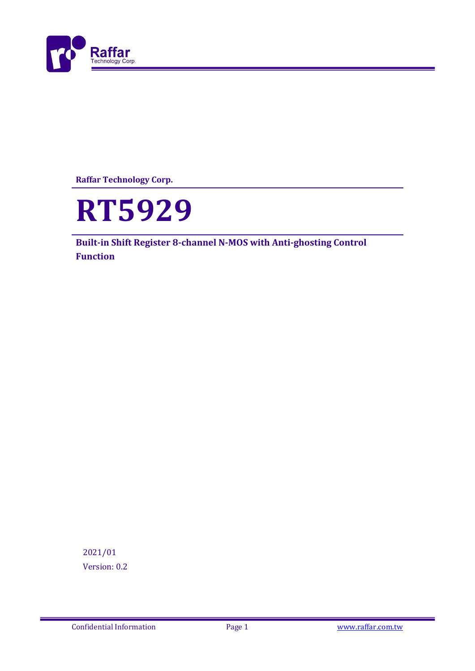

**Raffar Technology Corp.**



**Built-in Shift Register 8-channel N-MOS with Anti-ghosting Control Function**

2021/01 Version: 0.2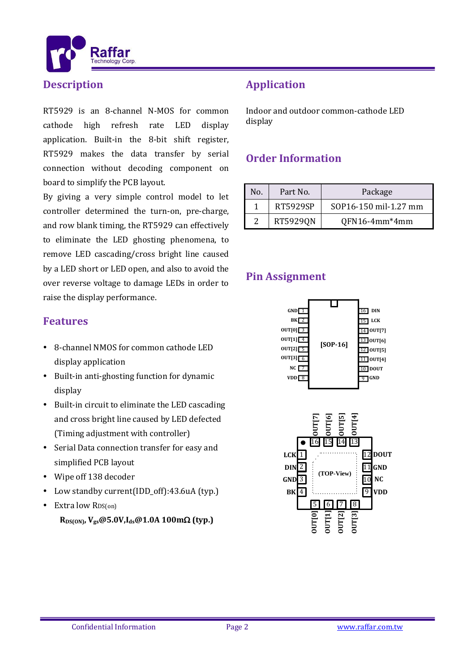

#### **Description**

RT5929 is an 8-channel N-MOS for common cathode high refresh rate LED display application. Built-in the 8-bit shift register, RT5929 makes the data transfer by serial connection without decoding component on board to simplify the PCB layout.

By giving a very simple control model to let controller determined the turn-on, pre-charge, and row blank timing, the RT5929 can effectively to eliminate the LED ghosting phenomena, to remove LED cascading/cross bright line caused by a LED short or LED open, and also to avoid the over reverse voltage to damage LEDs in order to raise the display performance.

## **Features**

- 8-channel NMOS for common cathode LED display application
- Built-in anti-ghosting function for dynamic display
- Built-in circuit to eliminate the LED cascading and cross bright line caused by LED defected (Timing adjustment with controller)
- Serial Data connection transfer for easy and simplified PCB layout
- Wipe off 138 decoder
- Low standby current(IDD\_off):43.6uA (typ.)
- Extra low RDS(on)

 $R_{DS(ON)}$ ,  $V_{gs}$   $\omega$  5.0V,  $I_{ds}$   $\omega$  1.0A 100m $\Omega$  (typ.)

# **Application**

Indoor and outdoor common-cathode LED display

## **Order Information**

| Nο. | Part No. | Package               |  |
|-----|----------|-----------------------|--|
|     | RT5929SP | SOP16-150 mil-1.27 mm |  |
|     | RT5929QN | $QFN16-4mm*4mm$       |  |

## **Pin Assignment**



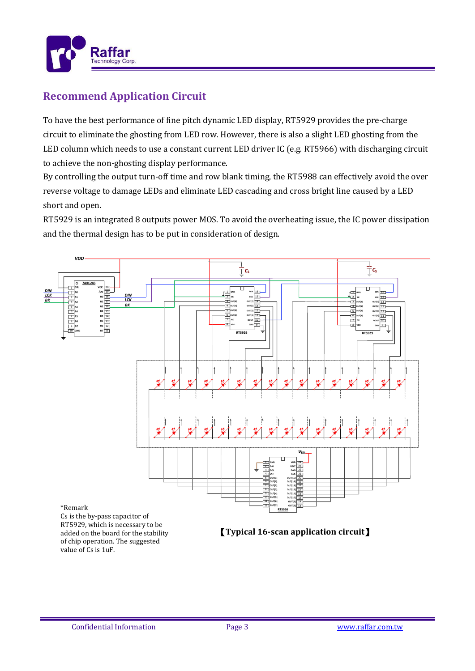

# **Recommend Application Circuit**

To have the best performance of fine pitch dynamic LED display, RT5929 provides the pre-charge circuit to eliminate the ghosting from LED row. However, there is also a slight LED ghosting from the LED column which needs to use a constant current LED driver IC (e.g. RT5966) with discharging circuit to achieve the non-ghosting display performance.

By controlling the output turn-off time and row blank timing, the RT5988 can effectively avoid the over reverse voltage to damage LEDs and eliminate LED cascading and cross bright line caused by a LED short and open.

RT5929 is an integrated 8 outputs power MOS. To avoid the overheating issue, the IC power dissipation and the thermal design has to be put in consideration of design.

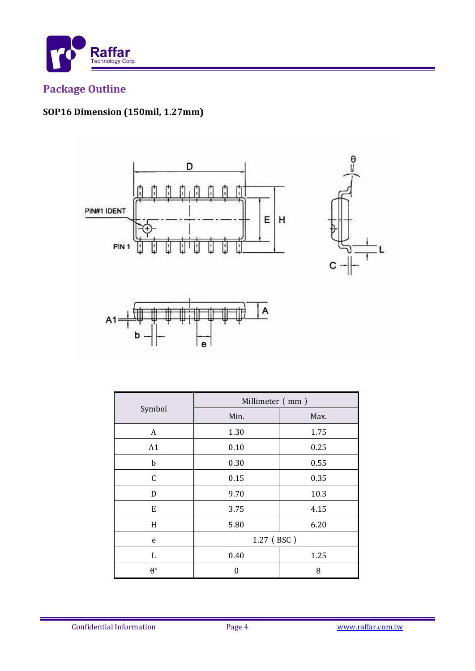

# **Package Outline**

# SOP16 Dimension (150mil, 1.27mm)







|                  | Millimeter (mm) |      |  |
|------------------|-----------------|------|--|
| Symbol           | Min.            | Max. |  |
| A                | 1.30            | 1.75 |  |
| A1               | 0.10            | 0.25 |  |
| $\mathbf b$      | 0.30            | 0.55 |  |
| $\mathsf C$      | 0.15            | 0.35 |  |
| D                | 9.70            | 10.3 |  |
| E                | 3.75            | 4.15 |  |
| H                | 5.80            | 6.20 |  |
| e                | 1.27 (BSC)      |      |  |
| L                | 0.40            | 1.25 |  |
| $\theta^{\circ}$ | O               | 8    |  |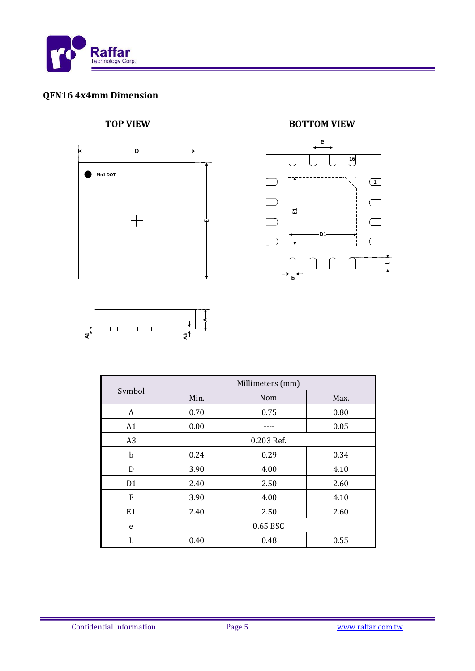

# **QFN16 4x4mm Dimension**



### **TOP VIEW BOTTOM VIEW**





|                | Millimeters (mm) |      |      |  |
|----------------|------------------|------|------|--|
| Symbol         | Min.             | Nom. | Max. |  |
| A              | 0.70             | 0.75 | 0.80 |  |
| A1             | 0.00             |      | 0.05 |  |
| A <sub>3</sub> | 0.203 Ref.       |      |      |  |
| b              | 0.24             | 0.29 | 0.34 |  |
| D              | 3.90             | 4.00 | 4.10 |  |
| D <sub>1</sub> | 2.40             | 2.50 | 2.60 |  |
| E              | 3.90             | 4.00 | 4.10 |  |
| E <sub>1</sub> | 2.40             | 2.50 | 2.60 |  |
| e              | 0.65 BSC         |      |      |  |
| L              | 0.40             | 0.48 | 0.55 |  |